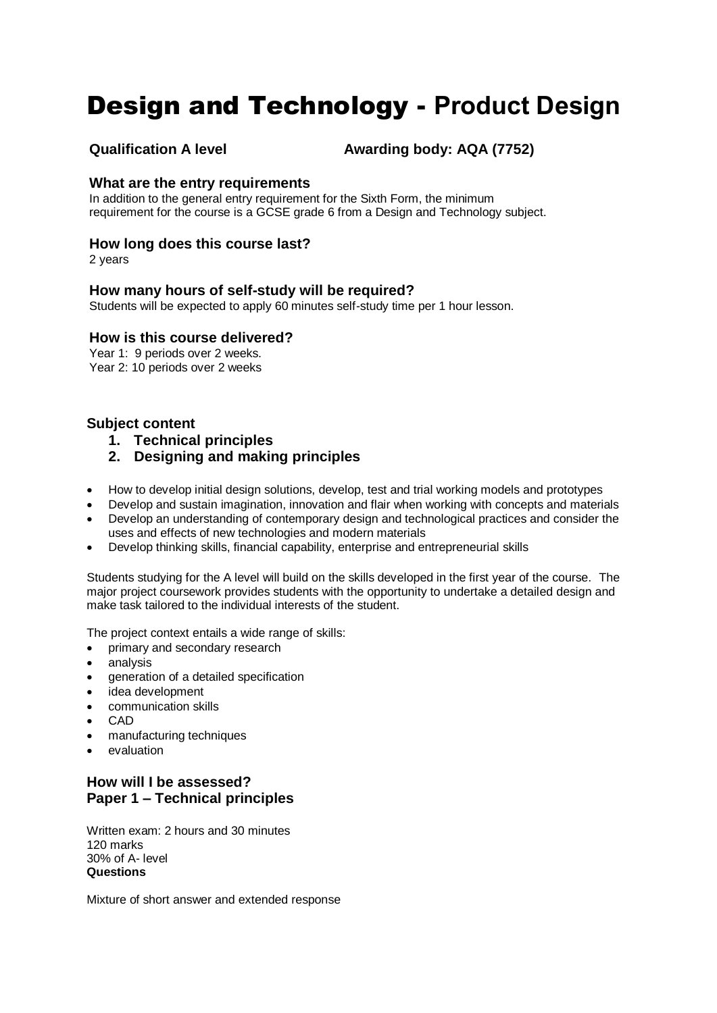# Design and Technology - **Product Design**

**Qualification A level <b>Awarding body: AQA (7752)** 

# **What are the entry requirements**

In addition to the general entry requirement for the Sixth Form, the minimum requirement for the course is a GCSE grade 6 from a Design and Technology subject.

# **How long does this course last?**

2 years

# **How many hours of self-study will be required?**

Students will be expected to apply 60 minutes self-study time per 1 hour lesson.

### **How is this course delivered?**

Year 1: 9 periods over 2 weeks. Year 2: 10 periods over 2 weeks

# **Subject content**

- **1. Technical principles**
- **2. Designing and making principles**
- How to develop initial design solutions, develop, test and trial working models and prototypes
- Develop and sustain imagination, innovation and flair when working with concepts and materials
- Develop an understanding of contemporary design and technological practices and consider the uses and effects of new technologies and modern materials
- Develop thinking skills, financial capability, enterprise and entrepreneurial skills

Students studying for the A level will build on the skills developed in the first year of the course. The major project coursework provides students with the opportunity to undertake a detailed design and make task tailored to the individual interests of the student.

The project context entails a wide range of skills:

- primary and secondary research
- analysis
- generation of a detailed specification
- idea development
- communication skills
- CAD
- manufacturing techniques
- evaluation

# **How will I be assessed? Paper 1 – Technical principles**

Written exam: 2 hours and 30 minutes 120 marks 30% of A- level **Questions** 

Mixture of short answer and extended response